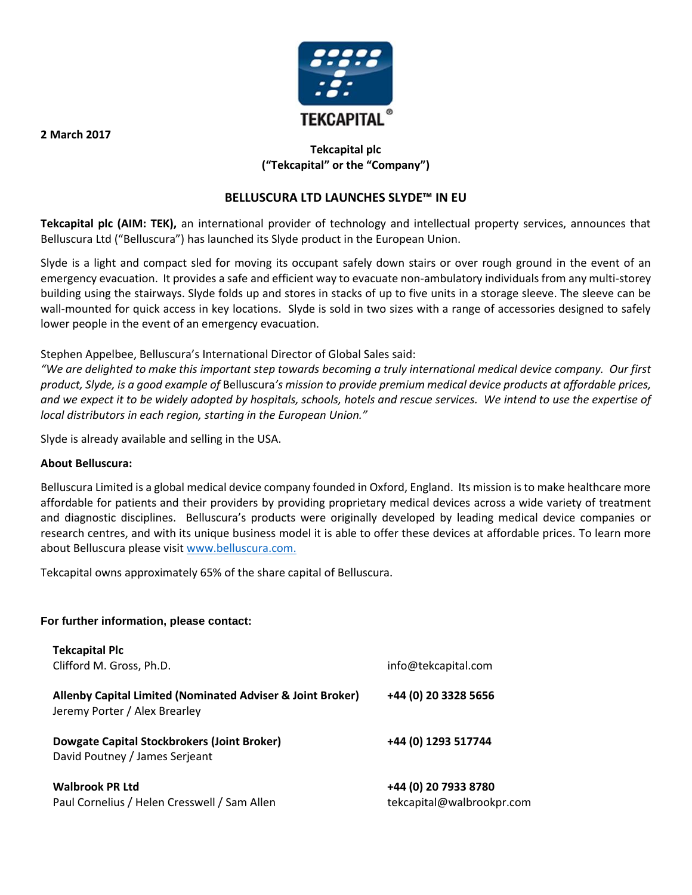

# **Tekcapital plc ("Tekcapital" or the "Company")**

## **BELLUSCURA LTD LAUNCHES SLYDE™ IN EU**

**Tekcapital plc (AIM: TEK),** an international provider of technology and intellectual property services, announces that Belluscura Ltd ("Belluscura") has launched its Slyde product in the European Union.

Slyde is a light and compact sled for moving its occupant safely down stairs or over rough ground in the event of an emergency evacuation. It provides a safe and efficient way to evacuate non-ambulatory individuals from any multi-storey building using the stairways. Slyde folds up and stores in stacks of up to five units in a storage sleeve. The sleeve can be wall-mounted for quick access in key locations. Slyde is sold in two sizes with a range of accessories designed to safely lower people in the event of an emergency evacuation.

Stephen Appelbee, Belluscura's International Director of Global Sales said:

*"We are delighted to make this important step towards becoming a truly international medical device company. Our first product, Slyde, is a good example of* Belluscura*'s mission to provide premium medical device products at affordable prices, and we expect it to be widely adopted by hospitals, schools, hotels and rescue services. We intend to use the expertise of local distributors in each region, starting in the European Union."*

Slyde is already available and selling in the USA.

#### **About Belluscura:**

Belluscura Limited is a global medical device company founded in Oxford, England. Its mission is to make healthcare more affordable for patients and their providers by providing proprietary medical devices across a wide variety of treatment and diagnostic disciplines. Belluscura's products were originally developed by leading medical device companies or research centres, and with its unique business model it is able to offer these devices at affordable prices. To learn more about Belluscura please visit [www.belluscura.com.](http://www.belluscura.com/)

Tekcapital owns approximately 65% of the share capital of Belluscura.

#### **For further information, please contact:**

| <b>Tekcapital Plc</b>                                                                       |                                                   |
|---------------------------------------------------------------------------------------------|---------------------------------------------------|
| Clifford M. Gross, Ph.D.                                                                    | info@tekcapital.com                               |
| Allenby Capital Limited (Nominated Adviser & Joint Broker)<br>Jeremy Porter / Alex Brearley | +44 (0) 20 3328 5656                              |
| Dowgate Capital Stockbrokers (Joint Broker)<br>David Poutney / James Serjeant               | +44 (0) 1293 517744                               |
| <b>Walbrook PR Ltd</b><br>Paul Cornelius / Helen Cresswell / Sam Allen                      | +44 (0) 20 7933 8780<br>tekcapital@walbrookpr.com |

**2 March 2017**